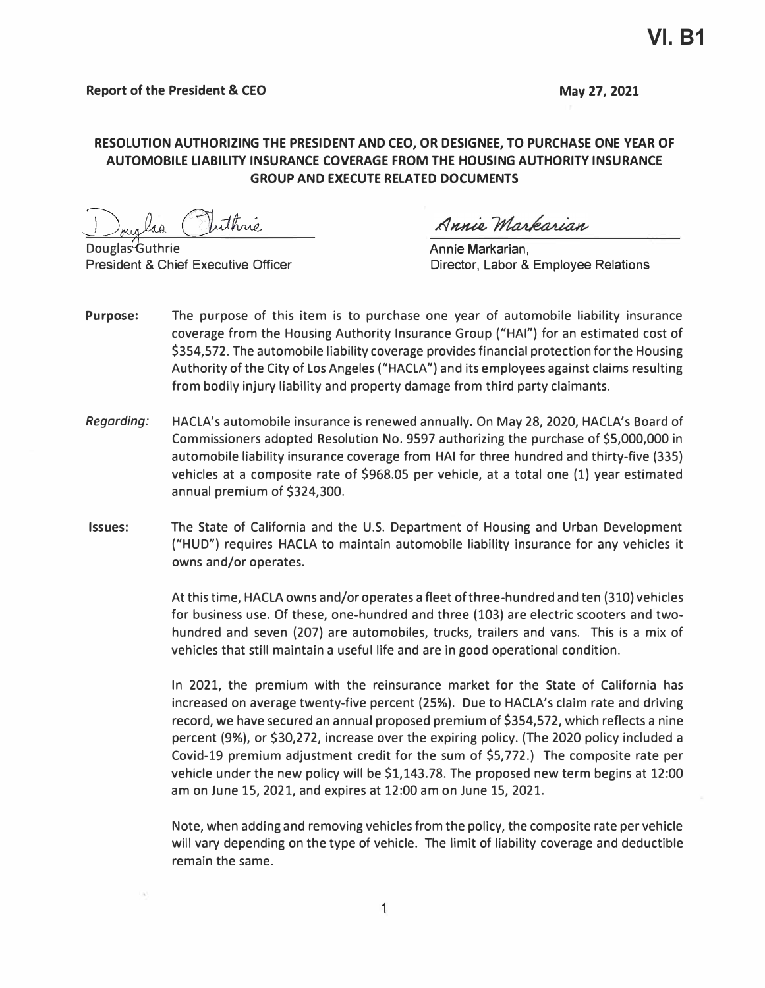## **RESOLUTION AUTHORIZING THE PRESIDENT AND CEO, OR DESIGNEE, TO PURCHASE ONE YEAR OF AUTOMOBILE LIABILITY INSURANCE COVERAGE FROM THE HOUSING AUTHORITY INSURANCE GROUP AND EXECUTE RELATED DOCUMENTS**

uthné.

Douglas Guthrie **Annie Markarian**, **Douglas Guthrie Annie Markarian**, **President & Chief Executive Officer Annie Markarian**, **President & Chief Executive Officer Annie Structure Annie Markarian**, **President & Chief Exe** 

Annie Markarian

Director, Labor & Employee Relations

- **Purpose:** The purpose of this item is to purchase one year of automobile liability insurance coverage from the Housing Authority Insurance Group ("HAI") for an estimated cost of \$354,572. The automobile liability coverage provides financial protection for the Housing Authority of the City of Los Angeles ("HACLA") and its employees against claims resulting from bodily injury liability and property damage from third party claimants.
- *Regarding:* HACLA's automobile insurance is renewed annually. On May 28, 2020, HACLA's Board of Commissioners adopted Resolution No. 9597 authorizing the purchase of \$5,000,000 in automobile liability insurance coverage from HAI for three hundred and thirty-five (335) vehicles at a composite rate of \$968.05 per vehicle, at a total one (1) year estimated annual premium of \$324,300.
- **Issues:** The State of California and the U.S. Department of Housing and Urban Development ("HUD") requires HACLA to maintain automobile liability insurance for any vehicles it owns and/or operates.

At this time, HACLA owns and/or operates a fleet of three-hundred and ten (310) vehicles for business use. Of these, one-hundred and three (103} are electric scooters and twohundred and seven (207) are automobiles, trucks, trailers and vans. This is a mix of vehicles that still maintain a useful life and are in good operational condition.

In 2021, the premium with the reinsurance market for the State of California has increased on average twenty-five percent (25%). Due to HACLA's claim rate and driving record, we have secured an annual proposed premium of \$354,572, which reflects a nine percent (9%}, or \$30,272, increase over the expiring policy. (The 2020 policy included a Covid-19 premium adjustment credit for the sum of \$5, 772.) The composite rate per vehicle under the new policy will be \$1,143.78. The proposed new term begins at 12:00 am on June 15, 2021, and expires at 12:00 am on June 15, 2021.

Note, when adding and removing vehicles from the policy, the composite rate per vehicle will vary depending on the type of vehicle. The limit of liability coverage and deductible remain the same.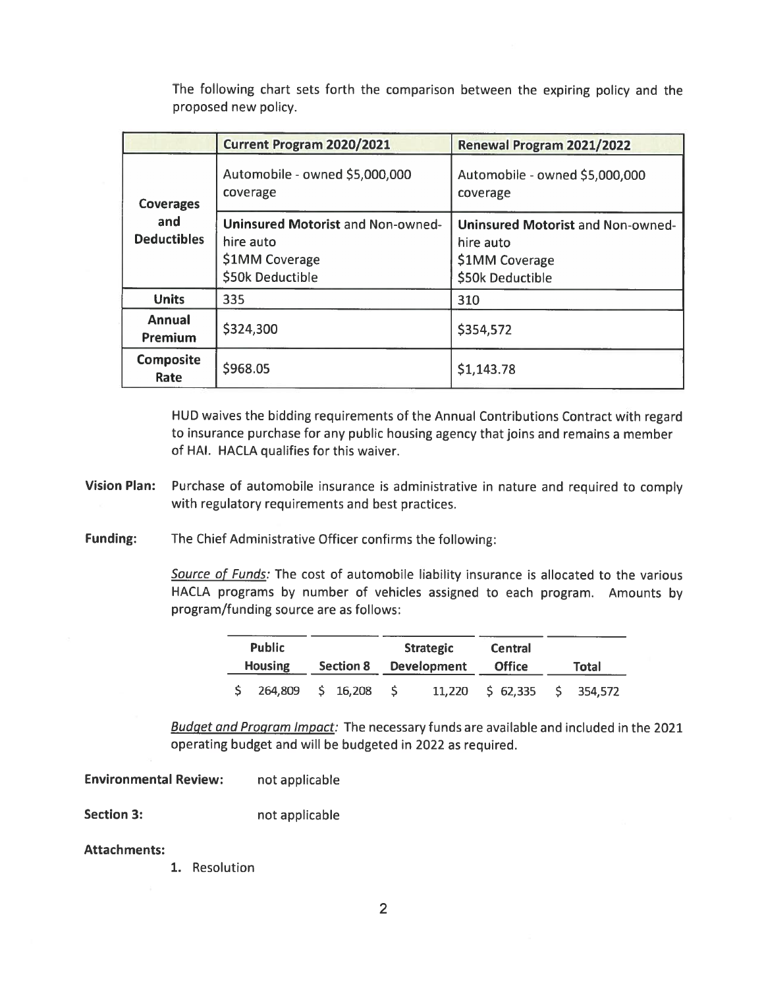The following chart sets forth the comparison between the expiring policy and the proposed new policy.

|                           | <b>Current Program 2020/2021</b>                                                            | Renewal Program 2021/2022                                                                   |  |  |
|---------------------------|---------------------------------------------------------------------------------------------|---------------------------------------------------------------------------------------------|--|--|
| <b>Coverages</b>          | Automobile - owned \$5,000,000<br>coverage                                                  | Automobile - owned \$5,000,000<br>coverage                                                  |  |  |
| and<br><b>Deductibles</b> | <b>Uninsured Motorist and Non-owned-</b><br>hire auto<br>\$1MM Coverage<br>\$50k Deductible | <b>Uninsured Motorist and Non-owned-</b><br>hire auto<br>\$1MM Coverage<br>\$50k Deductible |  |  |
| <b>Units</b>              | 335                                                                                         | 310                                                                                         |  |  |
| <b>Annual</b><br>Premium  | \$324,300                                                                                   | \$354,572                                                                                   |  |  |
| <b>Composite</b><br>Rate  | \$968.05                                                                                    | \$1,143.78                                                                                  |  |  |

HUD waives the bidding requirements of the Annual Contributions Contract with regard to insurance purchase for any public housing agency that joins and remains a member of HAI. HACLA qualifies for this waiver.

Vision Plan: Purchase of automobile insurance is administrative in nature and required to comply with regulatory requirements and best practices.

**Funding:** The Chief Administrative Officer confirms the following:

> Source of Funds: The cost of automobile liability insurance is allocated to the various HACLA programs by number of vehicles assigned to each program. Amounts by program/funding source are as follows:

| <b>Public</b><br><b>Housing</b> |         | <b>Section 8</b> |          | <b>Strategic</b><br><b>Development</b> |  | <b>Central</b><br><b>Office</b> | <b>Total</b> |            |
|---------------------------------|---------|------------------|----------|----------------------------------------|--|---------------------------------|--------------|------------|
|                                 | 264.809 |                  | S 16.208 |                                        |  | 11,220 \$ 62,335                |              | \$ 354,572 |

Budget and Program Impact: The necessary funds are available and included in the 2021 operating budget and will be budgeted in 2022 as required.

**Environmental Review:** not applicable

**Section 3:** not applicable

**Attachments:** 

1. Resolution